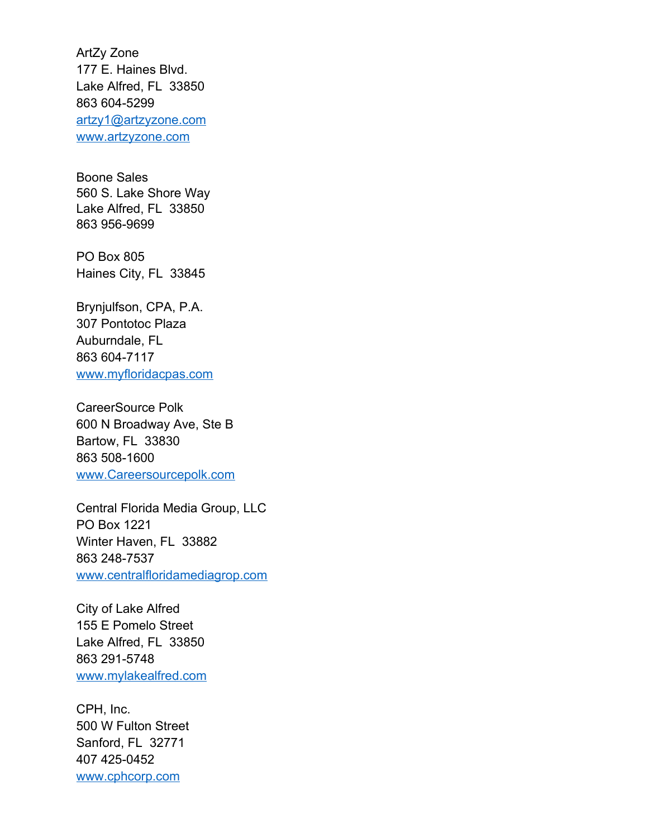ArtZy Zone 177 E. Haines Blvd. Lake Alfred, FL 33850 863 604-5299 [artzy1@artzyzone.com](mailto:artzy1@artzyzone.com) [www.artzyzone.com](http://www.artzyzone.com/)

Boone Sales 560 S. Lake Shore Way Lake Alfred, FL 33850 863 956-9699

PO Box 805 Haines City, FL 33845

Brynjulfson, CPA, P.A. 307 Pontotoc Plaza Auburndale, FL 863 604-7117 [www.myfloridacpas.com](http://www.myfloridacpas.com/)

CareerSource Polk 600 N Broadway Ave, Ste B Bartow, FL 33830 863 508-1600 [www.Careersourcepolk.com](http://www.Careersourcepolk.com/)

Central Florida Media Group, LLC PO Box 1221 Winter Haven, FL 33882 863 248-7537 [www.centralfloridamediagrop.com](http://www.centralfloridamediagrop.com/)

City of Lake Alfred 155 E Pomelo Street Lake Alfred, FL 33850 863 291-5748 [www.mylakealfred.com](http://www.mylakealfred.com/)

CPH, Inc. 500 W Fulton Street Sanford, FL 32771 407 425-0452 [www.cphcorp.com](http://www.cphcorp.com/)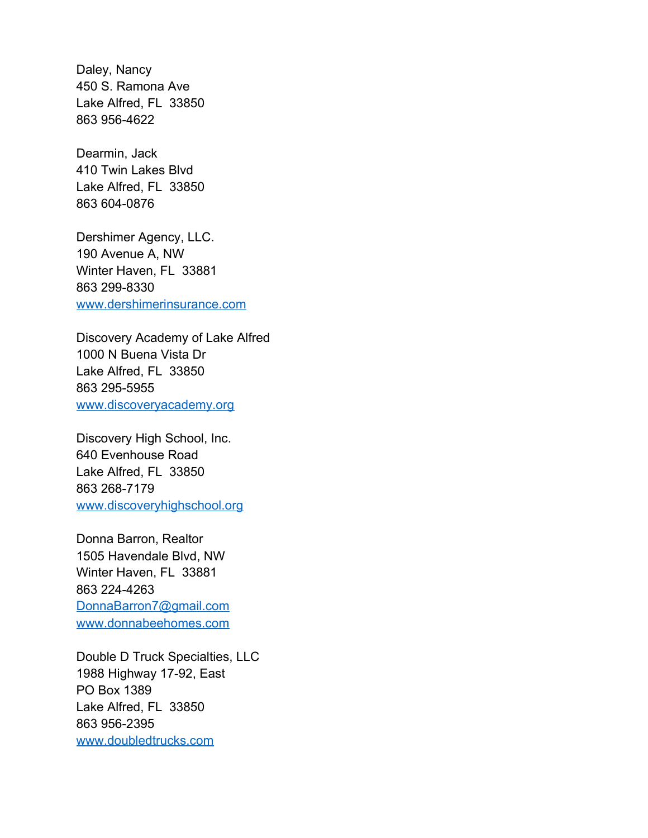Daley, Nancy 450 S. Ramona Ave Lake Alfred, FL 33850 863 956-4622

Dearmin, Jack 410 Twin Lakes Blvd Lake Alfred, FL 33850 863 604-0876

Dershimer Agency, LLC. 190 Avenue A, NW Winter Haven, FL 33881 863 299-8330 [www.dershimerinsurance.com](http://www.dershimerinsurance.com/)

Discovery Academy of Lake Alfred 1000 N Buena Vista Dr Lake Alfred, FL 33850 863 295-5955 [www.discoveryacademy.org](http://www.discoveryacademy.org/)

Discovery High School, Inc. 640 Evenhouse Road Lake Alfred, FL 33850 863 268-7179 [www.discoveryhighschool.org](http://www.discoveryhighschool.org/)

Donna Barron, Realtor 1505 Havendale Blvd, NW Winter Haven, FL 33881 863 224-4263 [DonnaBarron7@gmail.com](mailto:DonnaBarron7@gmail.com) [www.donnabeehomes.com](http://www.donnabeehomes.com/)

Double D Truck Specialties, LLC 1988 Highway 17-92, East PO Box 1389 Lake Alfred, FL 33850 863 956-2395 [www.doubledtrucks.com](http://www.doubledtrucks.com/)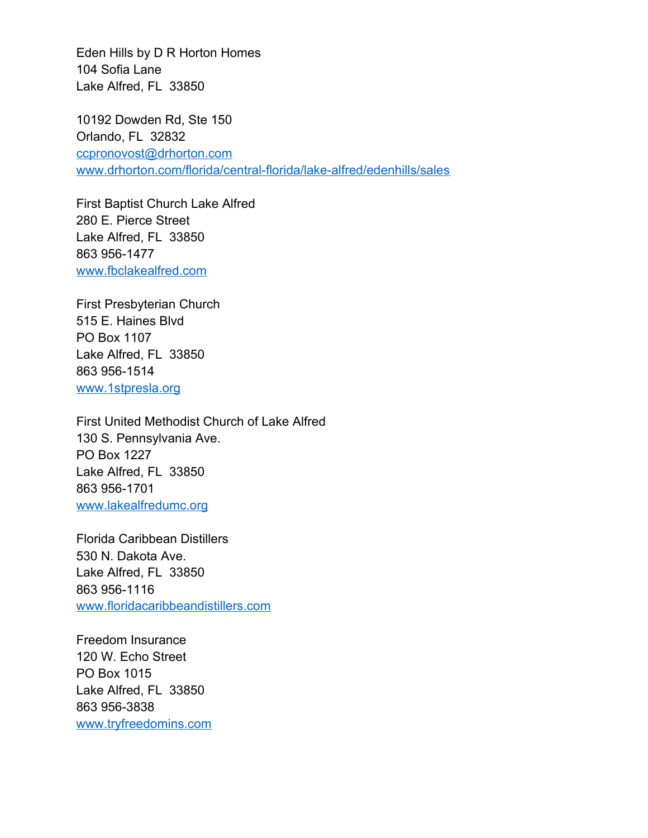Eden Hills by D R Horton Homes 104 Sofia Lane Lake Alfred, FL 33850

10192 Dowden Rd, Ste 150 Orlando, FL 32832 [ccpronovost@drhorton.com](mailto:ccpronovost@drhorton.com) [www.drhorton.com/florida/central-florida/lake-alfred/edenhills/sales](http://www.drhorton.com/florida/central-florida/lake-alfred/edenhills/sales)

First Baptist Church Lake Alfred 280 E. Pierce Street Lake Alfred, FL 33850 863 956-1477 [www.fbclakealfred.com](http://www.fbclakealfred.com/)

First Presbyterian Church 515 E. Haines Blvd PO Box 1107 Lake Alfred, FL 33850 863 956-1514 [www.1stpresla.org](http://www.1stpresla.org/)

First United Methodist Church of Lake Alfred 130 S. Pennsylvania Ave. PO Box 1227 Lake Alfred, FL 33850 863 956-1701 [www.lakealfredumc.org](http://www.lakealfredumc.org/)

Florida Caribbean Distillers 530 N. Dakota Ave. Lake Alfred, FL 33850 863 956-1116 [www.floridacaribbeandistillers.com](http://www.floridacaribbeandistillers.com/)

Freedom Insurance 120 W. Echo Street PO Box 1015 Lake Alfred, FL 33850 863 956-3838 [www.tryfreedomins.com](http://www.tryfreedomins.com/)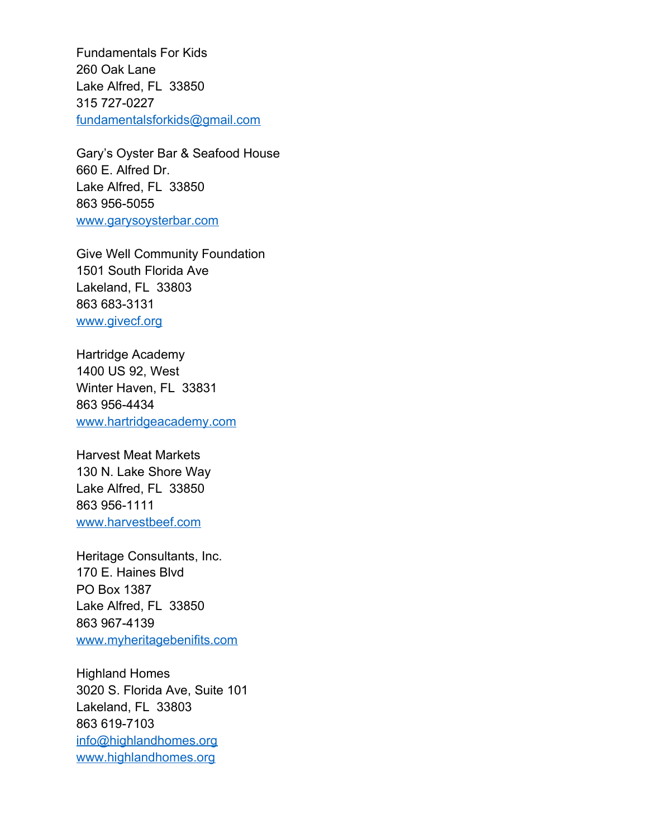Fundamentals For Kids 260 Oak Lane Lake Alfred, FL 33850 315 727-0227 [fundamentalsforkids@gmail.com](mailto:fundamentalsforkids@gmail.com)

Gary's Oyster Bar & Seafood House 660 E. Alfred Dr. Lake Alfred, FL 33850 863 956-5055 [www.garysoysterbar.com](http://www.garysoysterbar.com/)

Give Well Community Foundation 1501 South Florida Ave Lakeland, FL 33803 863 683-3131 [www.givecf.org](http://www.givecf.org/)

Hartridge Academy 1400 US 92, West Winter Haven, FL 33831 863 956-4434 [www.hartridgeacademy.com](http://www.hartridgeacademy.com/)

Harvest Meat Markets 130 N. Lake Shore Way Lake Alfred, FL 33850 863 956-1111 [www.harvestbeef.com](http://www.harvestbeef.com/)

Heritage Consultants, Inc. 170 E. Haines Blvd PO Box 1387 Lake Alfred, FL 33850 863 967-4139 [www.myheritagebenifits.com](http://www.myheritagebenifits.com/)

Highland Homes 3020 S. Florida Ave, Suite 101 Lakeland, FL 33803 863 619-7103 [info@highlandhomes.org](mailto:info@highlandhomes.org) [www.highlandhomes.org](http://www.highlandhomes.org/)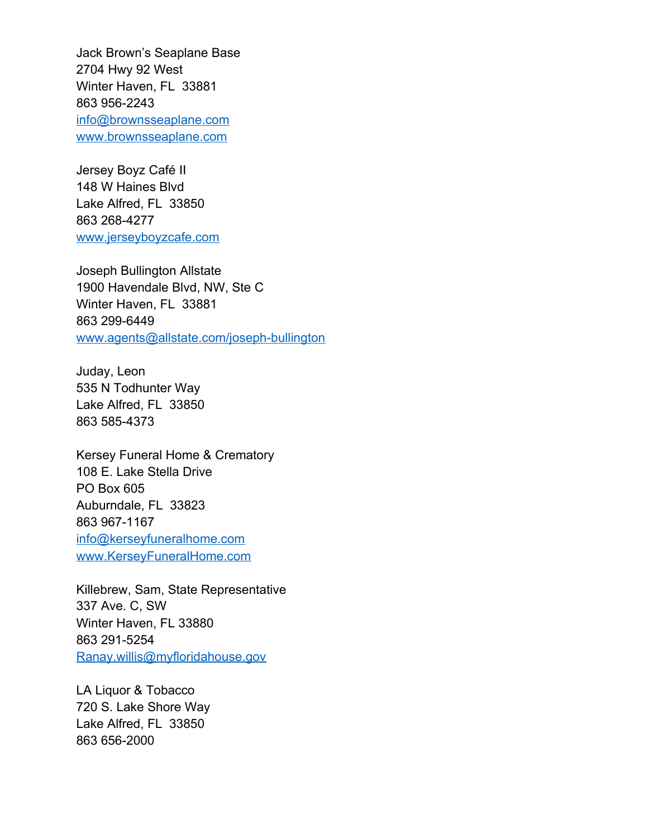Jack Brown's Seaplane Base 2704 Hwy 92 West Winter Haven, FL 33881 863 956-2243 [info@brownsseaplane.com](mailto:info@brownsseaplane.com) [www.brownsseaplane.com](http://www.brownsseaplane.com/)

Jersey Boyz Café II 148 W Haines Blvd Lake Alfred, FL 33850 863 268-4277 [www.jerseyboyzcafe.com](http://www.jerseyboyzcafe.com/)

Joseph Bullington Allstate 1900 Havendale Blvd, NW, Ste C Winter Haven, FL 33881 863 299-6449 [www.agents@allstate.com/joseph-bullington](./http:%2F%2Fwww.agents@allstate.com%2Fjoseph-bullington)

Juday, Leon 535 N Todhunter Way Lake Alfred, FL 33850 863 585-4373

Kersey Funeral Home & Crematory 108 E. Lake Stella Drive PO Box 605 Auburndale, FL 33823 863 967-1167 [info@kerseyfuneralhome.com](mailto:info@kerseyfuneralhome.com) [www.KerseyFuneralHome.com](http://www.KerseyFuneralHome.com/)

Killebrew, Sam, State Representative 337 Ave. C, SW Winter Haven, FL 33880 863 291-5254 [Ranay.willis@myfloridahouse.gov](mailto:Ranay.willis@myfloridahouse.gov)

LA Liquor & Tobacco 720 S. Lake Shore Way Lake Alfred, FL 33850 863 656-2000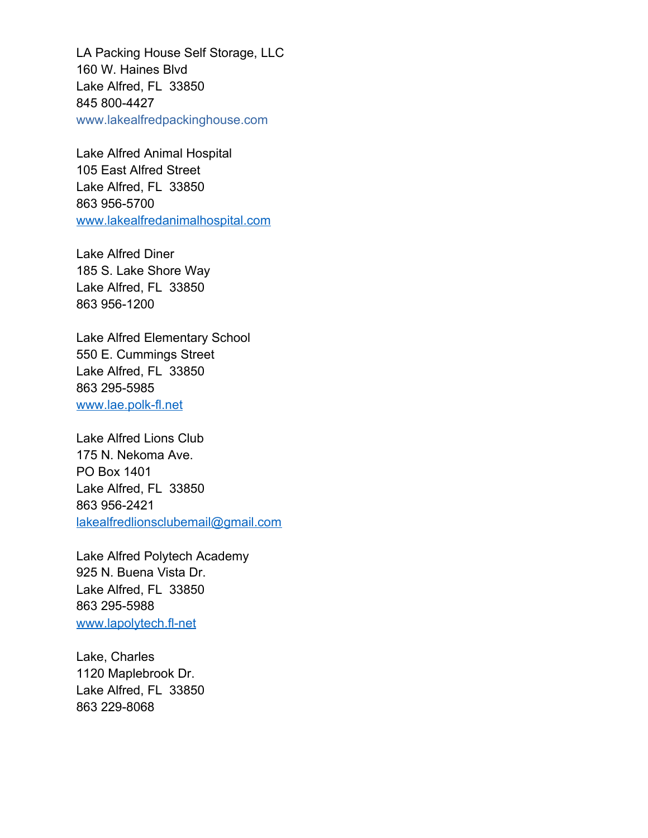LA Packing House Self Storage, LLC 160 W. Haines Blvd Lake Alfred, FL 33850 845 800-4427 www.lakealfredpackinghouse.com

Lake Alfred Animal Hospital 105 East Alfred Street Lake Alfred, FL 33850 863 956-5700 [www.lakealfredanimalhospital.com](http://www.lakealfredanimalhospital.com/)

Lake Alfred Diner 185 S. Lake Shore Way Lake Alfred, FL 33850 863 956-1200

Lake Alfred Elementary School 550 E. Cummings Street Lake Alfred, FL 33850 863 295-5985 [www.lae.polk-fl.net](http://www.lae.polk-fl.net/)

Lake Alfred Lions Club 175 N. Nekoma Ave. PO Box 1401 Lake Alfred, FL 33850 863 956-2421 [lakealfredlionsclubemail@gmail.com](mailto:lakealfredlionsclubemail@gmail.com)

Lake Alfred Polytech Academy 925 N. Buena Vista Dr. Lake Alfred, FL 33850 863 295-5988 [www.lapolytech.fl-net](http://www.lapolytech.fl-net/)

Lake, Charles 1120 Maplebrook Dr. Lake Alfred, FL 33850 863 229-8068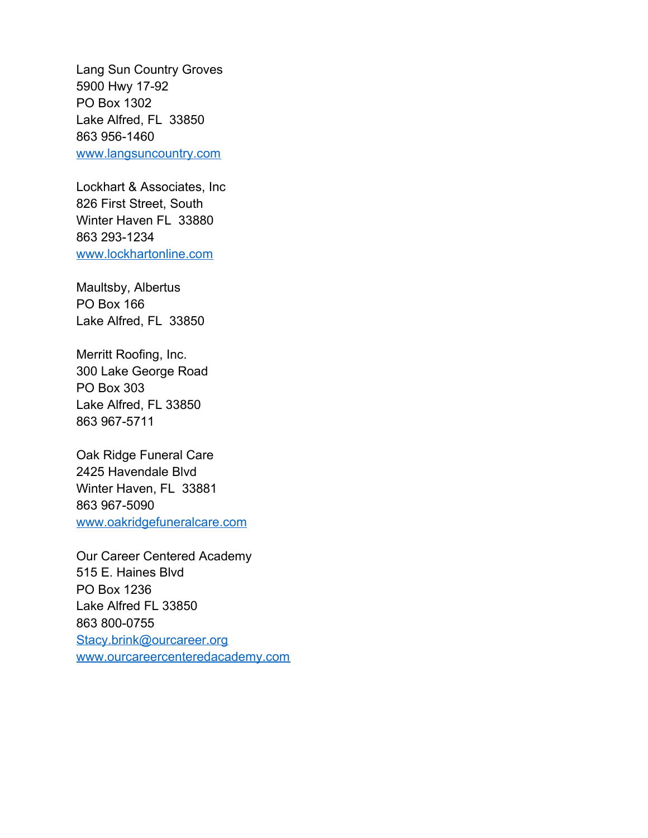Lang Sun Country Groves 5900 Hwy 17-92 PO Box 1302 Lake Alfred, FL 33850 863 956-1460 [www.langsuncountry.com](http://www.langsuncountry.com/)

Lockhart & Associates, Inc 826 First Street, South Winter Haven FL 33880 863 293-1234 [www.lockhartonline.com](http://www.lockhartonline.com/)

Maultsby, Albertus PO Box 166 Lake Alfred, FL 33850

Merritt Roofing, Inc. 300 Lake George Road PO Box 303 Lake Alfred, FL 33850 863 967-5711

Oak Ridge Funeral Care 2425 Havendale Blvd Winter Haven, FL 33881 863 967-5090 [www.oakridgefuneralcare.com](http://www.oakridgefuneralcare.com/)

Our Career Centered Academy 515 E. Haines Blvd PO Box 1236 Lake Alfred FL 33850 863 800-0755 [Stacy.brink@ourcareer.org](mailto:Stacy.brink@ourcareer.org) [www.ourcareercenteredacademy.com](http://www.ourcareercenteredacademy.com/)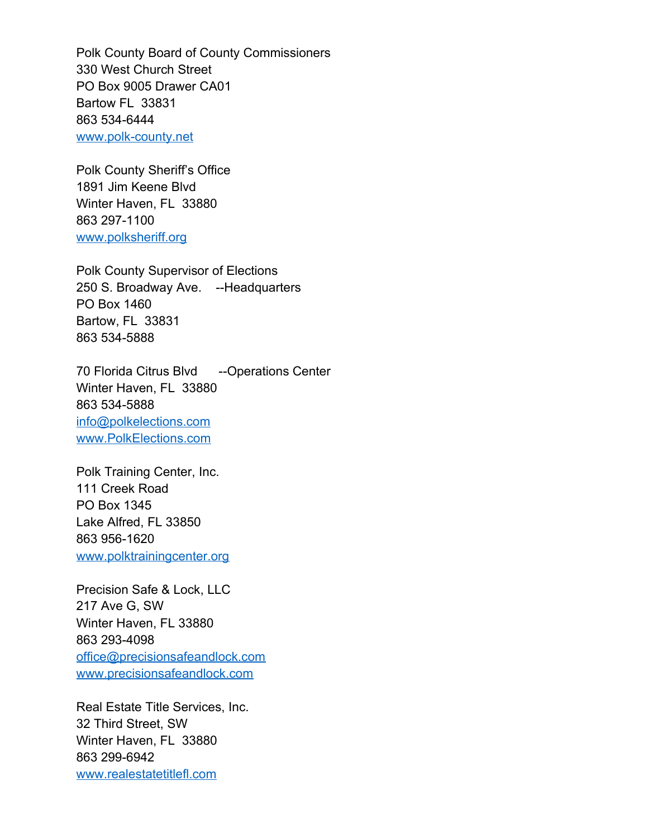Polk County Board of County Commissioners 330 West Church Street PO Box 9005 Drawer CA01 Bartow FL 33831 863 534-6444 [www.polk-county.net](http://www.polk-county.net/)

Polk County Sheriff's Office 1891 Jim Keene Blvd Winter Haven, FL 33880 863 297-1100 [www.polksheriff.org](http://www.polksheriff.org/)

Polk County Supervisor of Elections 250 S. Broadway Ave. --Headquarters PO Box 1460 Bartow, FL 33831 863 534-5888

70 Florida Citrus Blvd --Operations Center Winter Haven, FL 33880 863 534-5888 [info@polkelections.com](mailto:info@polkelections.com) [www.PolkElections.com](http://www.PolkElections.com/)

Polk Training Center, Inc. 111 Creek Road PO Box 1345 Lake Alfred, FL 33850 863 956-1620 [www.polktrainingcenter.org](http://www.polktrainingcenter.org/)

Precision Safe & Lock, LLC 217 Ave G, SW Winter Haven, FL 33880 863 293-4098 [office@precisionsafeandlock.com](mailto:office@precisionsafeandlock.com) [www.precisionsafeandlock.com](http://www.precisionsafeandlock.com/)

Real Estate Title Services, Inc. 32 Third Street, SW Winter Haven, FL 33880 863 299-6942 [www.realestatetitlefl.com](http://www.realestatetitlefl.com/)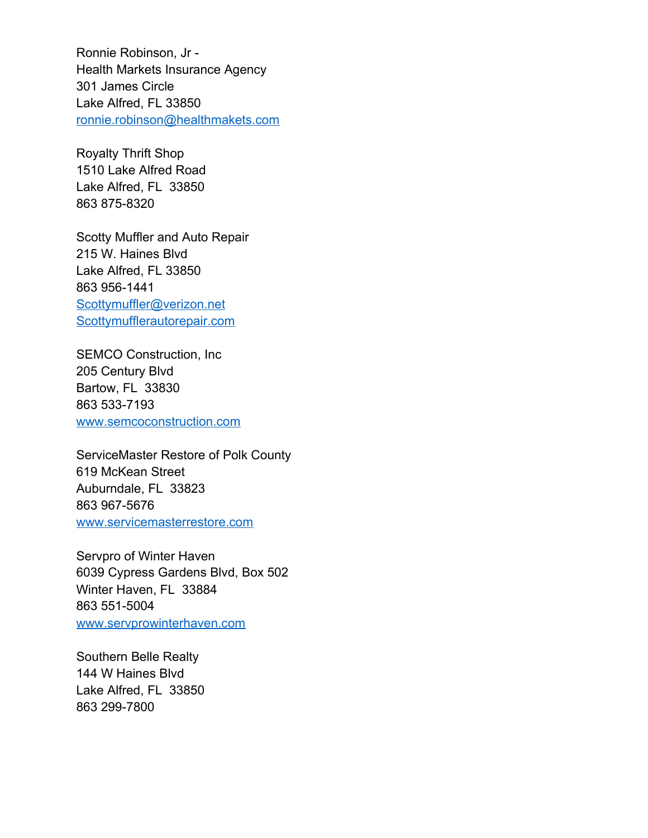Ronnie Robinson, Jr - Health Markets Insurance Agency 301 James Circle Lake Alfred, FL 33850 [ronnie.robinson@healthmakets.com](mailto:ronnie.robinson@healthmakets.com)

Royalty Thrift Shop 1510 Lake Alfred Road Lake Alfred, FL 33850 863 875-8320

Scotty Muffler and Auto Repair 215 W. Haines Blvd Lake Alfred, FL 33850 863 956-1441 [Scottymuffler@verizon.net](mailto:Scottymuffler@verizon.net) [Scottymufflerautorepair.com](mailto:scottyMuffler@verizon.net)

SEMCO Construction, Inc 205 Century Blvd Bartow, FL 33830 863 533-7193 [www.semcoconstruction.com](http://www.semcoconstruction.com/)

ServiceMaster Restore of Polk County 619 McKean Street Auburndale, FL 33823 863 967-5676 [www.servicemasterrestore.com](http://www.servicemasterrestore.com/)

Servpro of Winter Haven 6039 Cypress Gardens Blvd, Box 502 Winter Haven, FL 33884 863 551-5004 [www.servprowinterhaven.com](http://www.servprowinterhaven.com/)

Southern Belle Realty 144 W Haines Blvd Lake Alfred, FL 33850 863 299-7800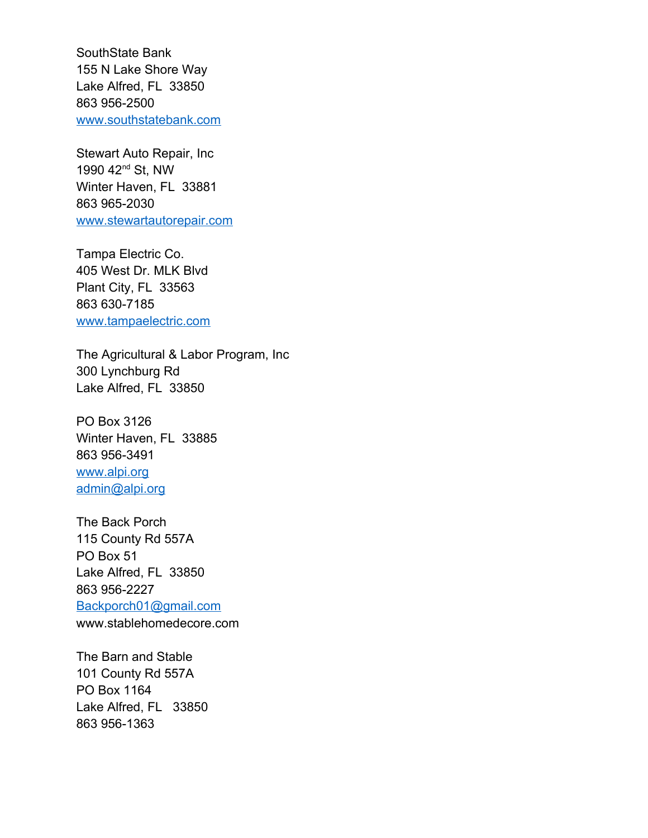SouthState Bank 155 N Lake Shore Way Lake Alfred, FL 33850 863 956-2500 [www.southstatebank.com](http://www.southstatebank.com/)

Stewart Auto Repair, Inc 1990 42nd St, NW Winter Haven, FL 33881 863 965-2030 [www.stewartautorepair.com](http://www.stewartautorepair.com/)

Tampa Electric Co. 405 West Dr. MLK Blvd Plant City, FL 33563 863 630-7185 [www.tampaelectric.com](http://www.tampaelectric.com/)

The Agricultural & Labor Program, Inc 300 Lynchburg Rd Lake Alfred, FL 33850

PO Box 3126 Winter Haven, FL 33885 863 956-3491 [www.alpi.org](http://www.alpi.org/) [admin@alpi.org](mailto:admin@alpi.org)

The Back Porch 115 County Rd 557A PO Box 51 Lake Alfred, FL 33850 863 956-2227 [Backporch01@gmail.com](mailto:Backporch01@gmail.com) www.stablehomedecore.com

The Barn and Stable 101 County Rd 557A PO Box 1164 Lake Alfred, FL 33850 863 956-1363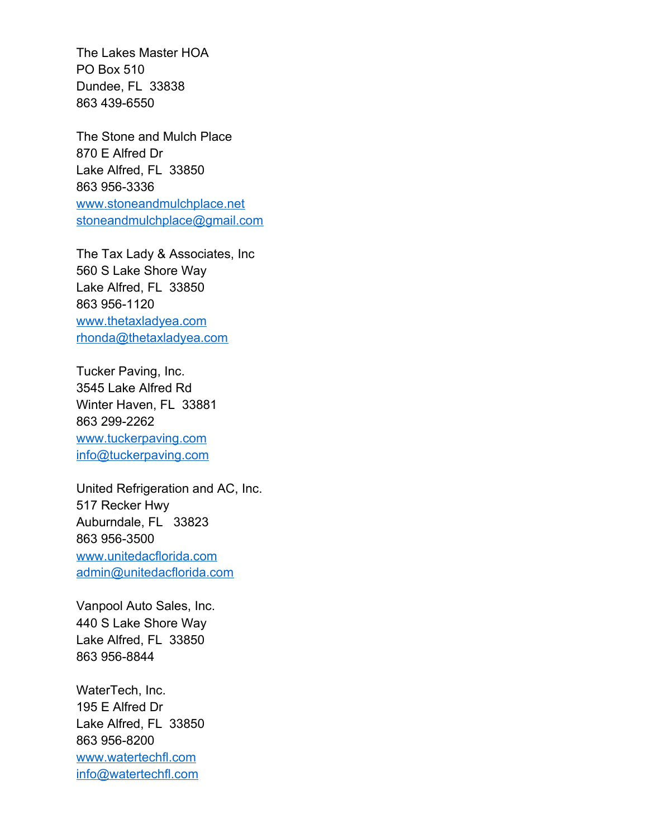The Lakes Master HOA PO Box 510 Dundee, FL 33838 863 439-6550

The Stone and Mulch Place 870 E Alfred Dr Lake Alfred, FL 33850 863 956-3336 [www.stoneandmulchplace.net](http://www.stoneandmulchplace.net/) [stoneandmulchplace@gmail.com](mailto:stoneandmulchplace@gmail.com)

The Tax Lady & Associates, Inc 560 S Lake Shore Way Lake Alfred, FL 33850 863 956-1120 [www.thetaxladyea.com](http://www.thetaxladyea.com/) [rhonda@thetaxladyea.com](mailto:rhonda@thetaxladyea.com)

Tucker Paving, Inc. 3545 Lake Alfred Rd Winter Haven, FL 33881 863 299-2262 [www.tuckerpaving.com](http://www.tuckerpaving.com/) [info@tuckerpaving.com](mailto:info@tuckerpaving.com)

United Refrigeration and AC, Inc. 517 Recker Hwy Auburndale, FL 33823 863 956-3500 [www.unitedacflorida.com](http://www.unitedacflorida.com/) [admin@unitedacflorida.com](mailto:admin@unitedacflorida.com)

Vanpool Auto Sales, Inc. 440 S Lake Shore Way Lake Alfred, FL 33850 863 956-8844

WaterTech, Inc. 195 E Alfred Dr Lake Alfred, FL 33850 863 956-8200 [www.watertechfl.com](http://www.watertechfl.com/) [info@watertechfl.com](mailto:info@watertechfl.com)